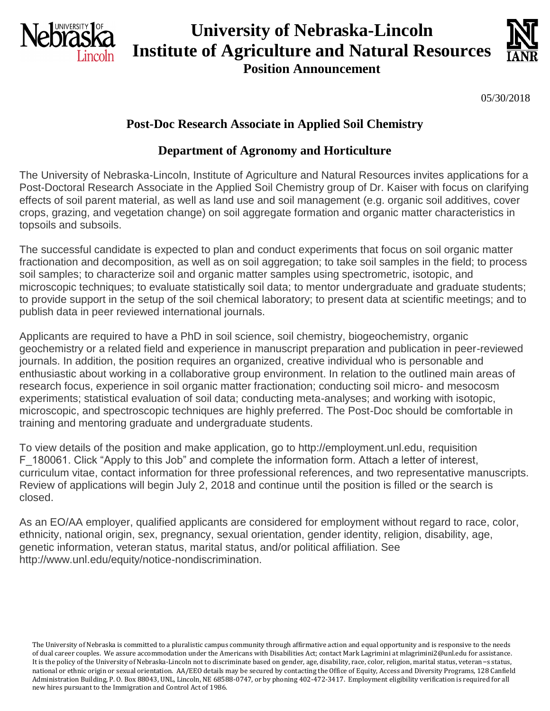

# **University of Nebraska-Lincoln Institute of Agriculture and Natural Resources**





05/30/2018

## **Post-Doc Research Associate in Applied Soil Chemistry**

### **Department of Agronomy and Horticulture**

The University of Nebraska-Lincoln, Institute of Agriculture and Natural Resources invites applications for a Post-Doctoral Research Associate in the Applied Soil Chemistry group of Dr. Kaiser with focus on clarifying effects of soil parent material, as well as land use and soil management (e.g. organic soil additives, cover crops, grazing, and vegetation change) on soil aggregate formation and organic matter characteristics in topsoils and subsoils.

The successful candidate is expected to plan and conduct experiments that focus on soil organic matter fractionation and decomposition, as well as on soil aggregation; to take soil samples in the field; to process soil samples; to characterize soil and organic matter samples using spectrometric, isotopic, and microscopic techniques; to evaluate statistically soil data; to mentor undergraduate and graduate students; to provide support in the setup of the soil chemical laboratory; to present data at scientific meetings; and to publish data in peer reviewed international journals.

Applicants are required to have a PhD in soil science, soil chemistry, biogeochemistry, organic geochemistry or a related field and experience in manuscript preparation and publication in peer-reviewed journals. In addition, the position requires an organized, creative individual who is personable and enthusiastic about working in a collaborative group environment. In relation to the outlined main areas of research focus, experience in soil organic matter fractionation; conducting soil micro- and mesocosm experiments; statistical evaluation of soil data; conducting meta-analyses; and working with isotopic, microscopic, and spectroscopic techniques are highly preferred. The Post-Doc should be comfortable in training and mentoring graduate and undergraduate students.

To view details of the position and make application, go to http://employment.unl.edu, requisition F\_180061. Click "Apply to this Job" and complete the information form. Attach a letter of interest, curriculum vitae, contact information for three professional references, and two representative manuscripts. Review of applications will begin July 2, 2018 and continue until the position is filled or the search is closed.

As an EO/AA employer, qualified applicants are considered for employment without regard to race, color, ethnicity, national origin, sex, pregnancy, sexual orientation, gender identity, religion, disability, age, genetic information, veteran status, marital status, and/or political affiliation. See http://www.unl.edu/equity/notice-nondiscrimination.

The University of Nebraska is committed to a pluralistic campus community through affirmative action and equal opportunity and is responsive to the needs of dual career couples. We assure accommodation under the Americans with Disabilities Act; contact Mark Lagrimini at mlagrimini2@unl.edu for assistance. It is the policy of the University of Nebraska-Lincoln not to discriminate based on gender, age, disability, race, color, religion, marital status, veteran=s status, national or ethnic origin or sexual orientation. AA/EEO details may be secured by contacting the Office of Equity, Access and Diversity Programs, 128 Canfield Administration Building, P. O. Box 88043, UNL, Lincoln, NE 68588-0747, or by phoning 402-472-3417. Employment eligibility verification is required for all new hires pursuant to the Immigration and Control Act of 1986.